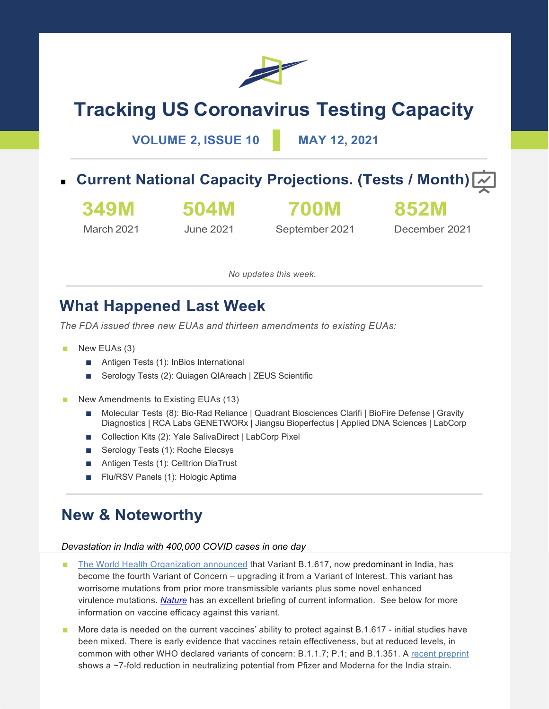

# **Tracking US Coronavirus Testing Capacity**

**VOLUME 2, ISSUE 10 MAY 12, 2021**

■ Current National Capacity Projections. (Tests / Month)

**349M** March 2021

June 2021

**504M**

**700M** September 2021

December 2021

**852M**

*No updates this week.*

### **What Happened Last Week**

*The FDA issued three new EUAs and thirteen amendments to existing EUAs:*

- New EUAs (3)
	- Antigen Tests (1): InBios International
	- Serology Tests (2): Quiagen QIAreach | ZEUS Scientific
- New Amendments to Existing EUAs (13)
	- Molecular Tests (8): Bio-Rad Reliance | Quadrant Biosciences Clarifi | BioFire Defense | Gravity Diagnostics | RCA Labs GENETWORx | Jiangsu Bioperfectus | Applied DNA Sciences | LabCorp
	- Collection Kits (2): Yale SalivaDirect | LabCorp Pixel
	- Serology Tests (1): Roche Elecsys
	- Antigen Tests (1): Celltrion DiaTrust
	- Flu/RSV Panels (1): Hologic Aptima

### **New & Noteworthy**

#### *Devastation in India with 400,000 COVID cases in one day*

- The World Health Organization announced that Variant B.1.617, now predominant in India, has become the fourth Variant of Concern – upgrading it from a Variant of Interest. This variant has worrisome mutations from prior more transmissible variants plus some novel enhanced virulence mutations. *Nature* has an excellent briefing of current information. See below for more information on vaccine efficacy against this variant.
- More data is needed on the current vaccines' ability to protect against B.1.617 initial studies have been mixed. There is early evidence that vaccines retain effectiveness, but at reduced levels, in common with other WHO declared variants of concern: B.1.1.7; P.1; and B.1.351. A recent preprint shows a ~7-fold reduction in neutralizing potential from Pfizer and Moderna for the India strain.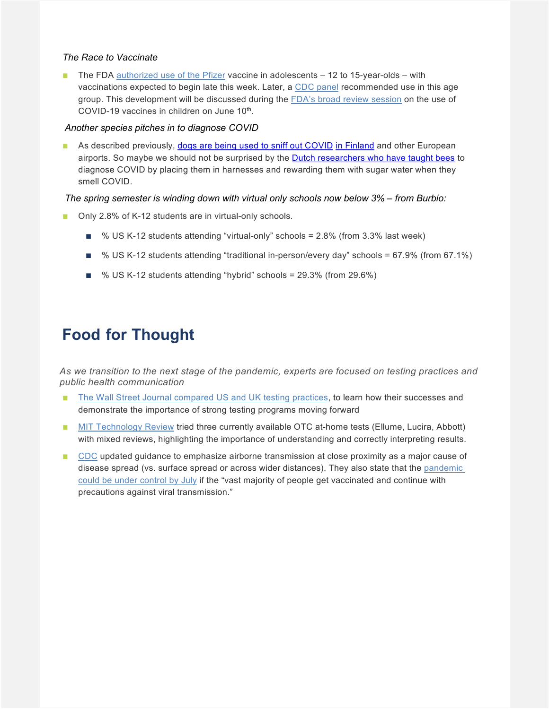#### *The Race to Vaccinate*

The FDA authorized use of the Pfizer vaccine in adolescents  $-12$  to 15-year-olds – with vaccinations expected to begin late this week. Later, a CDC panel recommended use in this age group. This development will be discussed during the FDA's broad review session on the use of COVID-19 vaccines in children on June  $10<sup>th</sup>$ .

#### *Another species pitches in to diagnose COVID*

As described previously, dogs are being used to sniff out COVID in Finland and other European airports. So maybe we should not be surprised by the **Dutch researchers who have taught bees** to diagnose COVID by placing them in harnesses and rewarding them with sugar water when they smell COVID.

#### *The spring semester is winding down with virtual only schools now below 3% – from Burbio:*

- Only 2.8% of K-12 students are in virtual-only schools.
	- % US K-12 students attending "virtual-only" schools = 2.8% (from 3.3% last week)
	- % US K-12 students attending "traditional in-person/every day" schools = 67.9% (from 67.1%)
	- % US K-12 students attending "hybrid" schools = 29.3% (from 29.6%)

## **Food for Thought**

*As we transition to the next stage of the pandemic, experts are focused on testing practices and public health communication*

- The Wall Street Journal compared US and UK testing practices, to learn how their successes and demonstrate the importance of strong testing programs moving forward
- MIT Technology Review tried three currently available OTC at-home tests (Ellume, Lucira, Abbott) with mixed reviews, highlighting the importance of understanding and correctly interpreting results.
- CDC updated guidance to emphasize airborne transmission at close proximity as a major cause of disease spread (vs. surface spread or across wider distances). They also state that the pandemic could be under control by July if the "vast majority of people get vaccinated and continue with precautions against viral transmission."